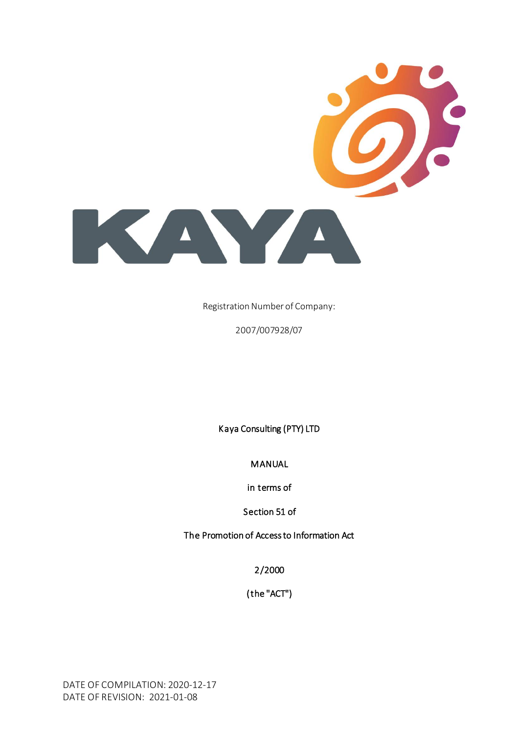

Registration Number of Company:

2007/007928/07

Kaya Consulting (PTY) LTD

MANUAL

in terms of

Section 51 of

The Promotion of Access to Information Act

2/2000

(the "ACT")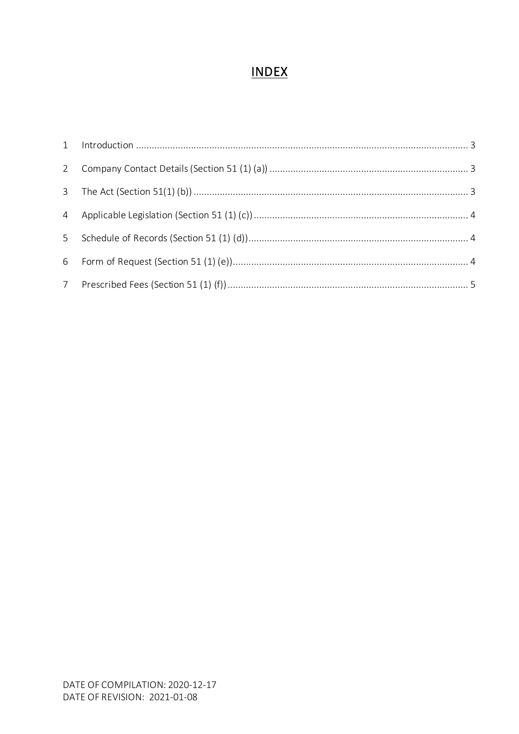#### **INDEX**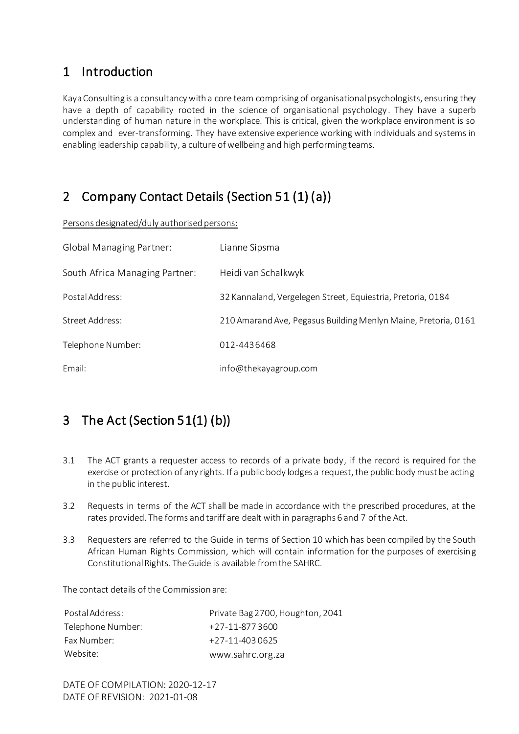#### <span id="page-2-0"></span>1 Introduction

Kaya Consulting is a consultancy with a core team comprising of organisational psychologists, ensuring they have a depth of capability rooted in the science of organisational psychology. They have a superb understanding of human nature in the workplace. This is critical, given the workplace environment is so complex and ever-transforming. They have extensive experience working with individuals and systems in enabling leadership capability, a culture of wellbeing and high performing teams.

#### <span id="page-2-1"></span>2 Company Contact Details (Section 51 (1) (a))

Persons designated/duly authorised persons:

| <b>Global Managing Partner:</b> | Lianne Sipsma                                                  |
|---------------------------------|----------------------------------------------------------------|
| South Africa Managing Partner:  | Heidi van Schalkwyk                                            |
| Postal Address:                 | 32 Kannaland, Vergelegen Street, Equiestria, Pretoria, 0184    |
| Street Address:                 | 210 Amarand Ave, Pegasus Building Menlyn Maine, Pretoria, 0161 |
| Telephone Number:               | 012-4436468                                                    |
| Email:                          | info@thekayagroup.com                                          |

## <span id="page-2-2"></span>3 The Act (Section 51(1) (b))

- 3.1 The ACT grants a requester access to records of a private body, if the record is required for the exercise or protection of any rights. If a public body lodges a request, the public body must be acting in the public interest.
- 3.2 Requests in terms of the ACT shall be made in accordance with the prescribed procedures, at the rates provided. The forms and tariff are dealt with in paragraphs 6 and 7 of the Act.
- 3.3 Requesters are referred to the Guide in terms of Section 10 which has been compiled by the South African Human Rights Commission, which will contain information for the purposes of exercising Constitutional Rights. The Guide is available from the SAHRC.

The contact details of the Commission are:

| Postal Address:   | Private Bag 2700, Houghton, 2041 |
|-------------------|----------------------------------|
| Telephone Number: | +27-11-8773600                   |
| Fax Number:       | $+27-11-4030625$                 |
| Website:          | www.sahrc.org.za                 |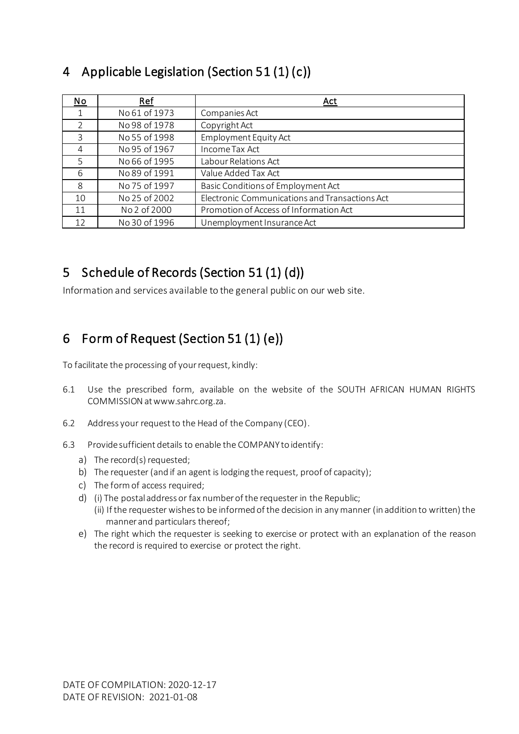| $\underline{\mathsf{No}}$ | Ref           | <u>Act</u>                                     |
|---------------------------|---------------|------------------------------------------------|
| 1                         | No 61 of 1973 | Companies Act                                  |
| $\overline{2}$            | No 98 of 1978 | Copyright Act                                  |
| 3                         | No 55 of 1998 | <b>Employment Equity Act</b>                   |
| 4                         | No 95 of 1967 | Income Tax Act                                 |
| 5                         | No 66 of 1995 | Labour Relations Act                           |
| 6                         | No 89 of 1991 | Value Added Tax Act                            |
| 8                         | No 75 of 1997 | Basic Conditions of Employment Act             |
| 10                        | No 25 of 2002 | Electronic Communications and Transactions Act |
| 11                        | No 2 of 2000  | Promotion of Access of Information Act         |
| 12                        | No 30 of 1996 | Unemployment Insurance Act                     |

#### <span id="page-3-0"></span>4 Applicable Legislation (Section 51 (1) (c))

### <span id="page-3-1"></span>5 Schedule of Records (Section 51 (1) (d))

Information and services available to the general public on our web site.

#### <span id="page-3-2"></span>6 Form of Request (Section 51 (1) (e))

To facilitate the processing of your request, kindly:

- 6.1 Use the prescribed form, available on the website of the SOUTH AFRICAN HUMAN RIGHTS COMMISSION at www.sahrc.org.za.
- 6.2 Address your request to the Head of the Company (CEO).
- 6.3 Provide sufficient details to enable the COMPANY to identify:
	- a) The record(s) requested;
	- b) The requester (and if an agent is lodging the request, proof of capacity);
	- c) The form of access required;
	- d) (i) The postal address or fax number of the requester in the Republic; (ii) If the requester wishes to be informed of the decision in any manner (in addition to written) the manner and particulars thereof;
	- e) The right which the requester is seeking to exercise or protect with an explanation of the reason the record is required to exercise or protect the right.